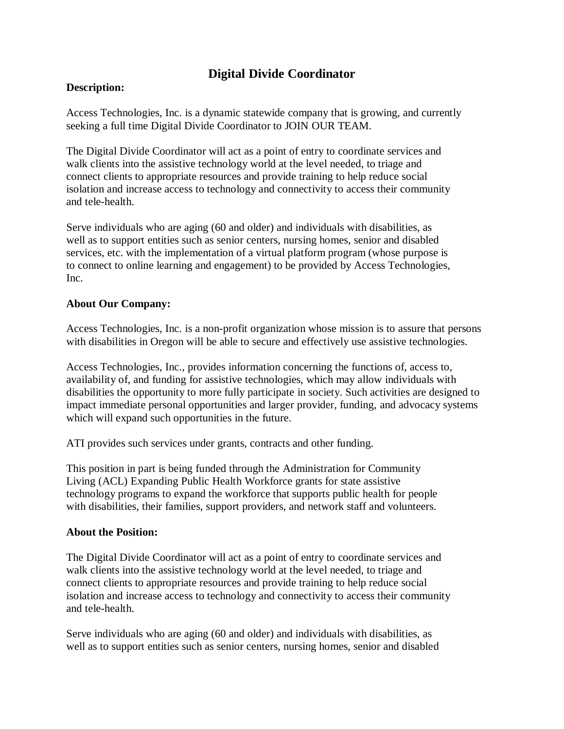# **Digital Divide Coordinator**

#### **Description:**

Access Technologies, Inc. is a dynamic statewide company that is growing, and currently seeking a full time Digital Divide Coordinator to JOIN OUR TEAM.

The Digital Divide Coordinator will act as a point of entry to coordinate services and walk clients into the assistive technology world at the level needed, to triage and connect clients to appropriate resources and provide training to help reduce social isolation and increase access to technology and connectivity to access their community and tele-health.

Serve individuals who are aging (60 and older) and individuals with disabilities, as well as to support entities such as senior centers, nursing homes, senior and disabled services, etc. with the implementation of a virtual platform program (whose purpose is to connect to online learning and engagement) to be provided by Access Technologies, Inc.

#### **About Our Company:**

Access Technologies, Inc. is a non-profit organization whose mission is to assure that persons with disabilities in Oregon will be able to secure and effectively use assistive technologies.

Access Technologies, Inc., provides information concerning the functions of, access to, availability of, and funding for assistive technologies, which may allow individuals with disabilities the opportunity to more fully participate in society. Such activities are designed to impact immediate personal opportunities and larger provider, funding, and advocacy systems which will expand such opportunities in the future.

ATI provides such services under grants, contracts and other funding.

This position in part is being funded through the Administration for Community Living (ACL) Expanding Public Health Workforce grants for state assistive technology programs to expand the workforce that supports public health for people with disabilities, their families, support providers, and network staff and volunteers.

#### **About the Position:**

The Digital Divide Coordinator will act as a point of entry to coordinate services and walk clients into the assistive technology world at the level needed, to triage and connect clients to appropriate resources and provide training to help reduce social isolation and increase access to technology and connectivity to access their community and tele-health.

Serve individuals who are aging (60 and older) and individuals with disabilities, as well as to support entities such as senior centers, nursing homes, senior and disabled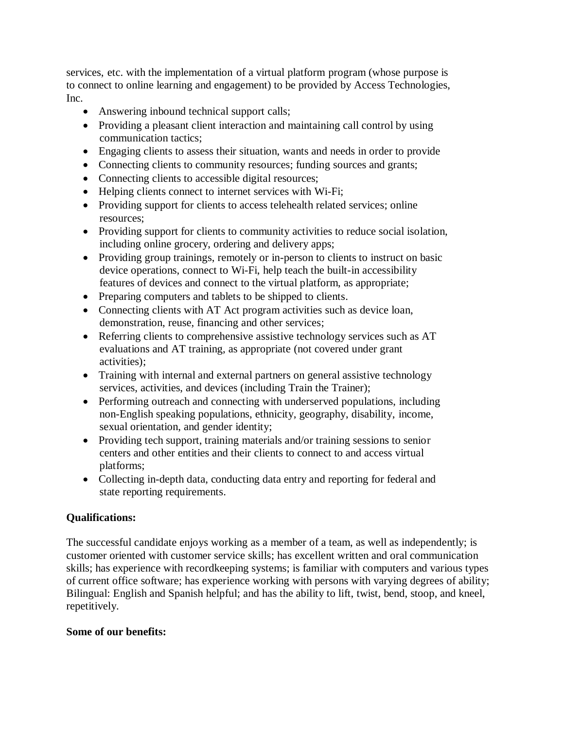services, etc. with the implementation of a virtual platform program (whose purpose is to connect to online learning and engagement) to be provided by Access Technologies, Inc.

- Answering inbound technical support calls;
- Providing a pleasant client interaction and maintaining call control by using communication tactics;
- Engaging clients to assess their situation, wants and needs in order to provide
- Connecting clients to community resources; funding sources and grants;
- Connecting clients to accessible digital resources;
- Helping clients connect to internet services with Wi-Fi;
- Providing support for clients to access telehealth related services; online resources;
- Providing support for clients to community activities to reduce social isolation, including online grocery, ordering and delivery apps;
- Providing group trainings, remotely or in-person to clients to instruct on basic device operations, connect to Wi-Fi, help teach the built-in accessibility features of devices and connect to the virtual platform, as appropriate;
- Preparing computers and tablets to be shipped to clients.
- Connecting clients with AT Act program activities such as device loan, demonstration, reuse, financing and other services;
- Referring clients to comprehensive assistive technology services such as AT evaluations and AT training, as appropriate (not covered under grant activities);
- Training with internal and external partners on general assistive technology services, activities, and devices (including Train the Trainer);
- Performing outreach and connecting with underserved populations, including non-English speaking populations, ethnicity, geography, disability, income, sexual orientation, and gender identity;
- Providing tech support, training materials and/or training sessions to senior centers and other entities and their clients to connect to and access virtual platforms;
- Collecting in-depth data, conducting data entry and reporting for federal and state reporting requirements.

## **Qualifications:**

The successful candidate enjoys working as a member of a team, as well as independently; is customer oriented with customer service skills; has excellent written and oral communication skills; has experience with recordkeeping systems; is familiar with computers and various types of current office software; has experience working with persons with varying degrees of ability; Bilingual: English and Spanish helpful; and has the ability to lift, twist, bend, stoop, and kneel, repetitively.

## **Some of our benefits:**